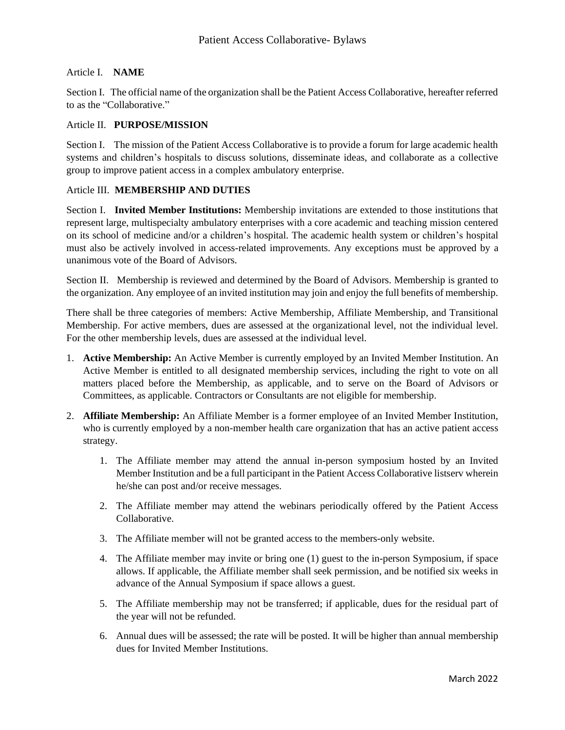# Article I. **NAME**

Section I. The official name of the organization shall be the Patient Access Collaborative, hereafter referred to as the "Collaborative."

### Article II. **PURPOSE/MISSION**

Section I. The mission of the Patient Access Collaborative is to provide a forum for large academic health systems and children's hospitals to discuss solutions, disseminate ideas, and collaborate as a collective group to improve patient access in a complex ambulatory enterprise.

# Article III. **MEMBERSHIP AND DUTIES**

Section I. **Invited Member Institutions:** Membership invitations are extended to those institutions that represent large, multispecialty ambulatory enterprises with a core academic and teaching mission centered on its school of medicine and/or a children's hospital. The academic health system or children's hospital must also be actively involved in access-related improvements. Any exceptions must be approved by a unanimous vote of the Board of Advisors.

Section II. Membership is reviewed and determined by the Board of Advisors. Membership is granted to the organization. Any employee of an invited institution may join and enjoy the full benefits of membership.

There shall be three categories of members: Active Membership, Affiliate Membership, and Transitional Membership. For active members, dues are assessed at the organizational level, not the individual level. For the other membership levels, dues are assessed at the individual level.

- 1. **Active Membership:** An Active Member is currently employed by an Invited Member Institution. An Active Member is entitled to all designated membership services, including the right to vote on all matters placed before the Membership, as applicable, and to serve on the Board of Advisors or Committees, as applicable. Contractors or Consultants are not eligible for membership.
- 2. **Affiliate Membership:** An Affiliate Member is a former employee of an Invited Member Institution, who is currently employed by a non-member health care organization that has an active patient access strategy.
	- 1. The Affiliate member may attend the annual in-person symposium hosted by an Invited Member Institution and be a full participant in the Patient Access Collaborative listserv wherein he/she can post and/or receive messages.
	- 2. The Affiliate member may attend the webinars periodically offered by the Patient Access Collaborative.
	- 3. The Affiliate member will not be granted access to the members-only website.
	- 4. The Affiliate member may invite or bring one (1) guest to the in-person Symposium, if space allows. If applicable, the Affiliate member shall seek permission, and be notified six weeks in advance of the Annual Symposium if space allows a guest.
	- 5. The Affiliate membership may not be transferred; if applicable, dues for the residual part of the year will not be refunded.
	- 6. Annual dues will be assessed; the rate will be posted. It will be higher than annual membership dues for Invited Member Institutions.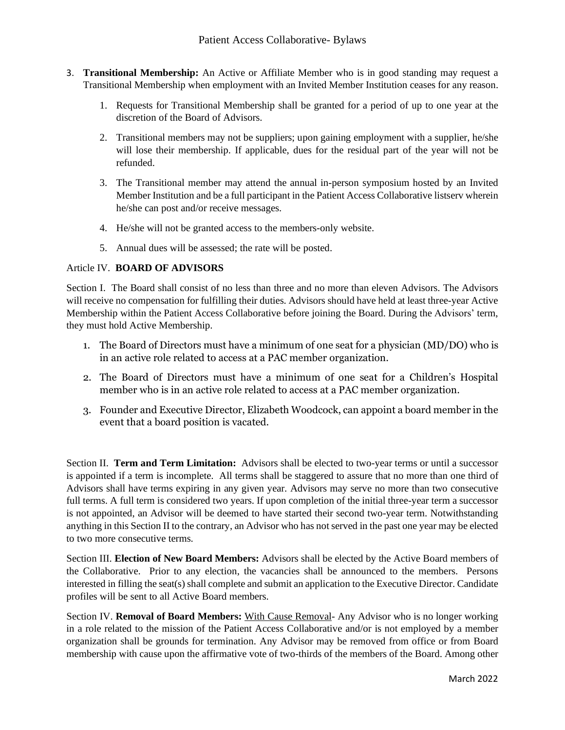- 3. **Transitional Membership:** An Active or Affiliate Member who is in good standing may request a Transitional Membership when employment with an Invited Member Institution ceases for any reason.
	- 1. Requests for Transitional Membership shall be granted for a period of up to one year at the discretion of the Board of Advisors.
	- 2. Transitional members may not be suppliers; upon gaining employment with a supplier, he/she will lose their membership. If applicable, dues for the residual part of the year will not be refunded.
	- 3. The Transitional member may attend the annual in-person symposium hosted by an Invited Member Institution and be a full participant in the Patient Access Collaborative listserv wherein he/she can post and/or receive messages.
	- 4. He/she will not be granted access to the members-only website.
	- 5. Annual dues will be assessed; the rate will be posted.

# Article IV. **BOARD OF ADVISORS**

Section I. The Board shall consist of no less than three and no more than eleven Advisors. The Advisors will receive no compensation for fulfilling their duties. Advisors should have held at least three-year Active Membership within the Patient Access Collaborative before joining the Board. During the Advisors' term, they must hold Active Membership.

- 1. The Board of Directors must have a minimum of one seat for a physician (MD/DO) who is in an active role related to access at a PAC member organization.
- 2. The Board of Directors must have a minimum of one seat for a Children's Hospital member who is in an active role related to access at a PAC member organization.
- 3. Founder and Executive Director, Elizabeth Woodcock, can appoint a board member in the event that a board position is vacated.

Section II. **Term and Term Limitation:** Advisors shall be elected to two-year terms or until a successor is appointed if a term is incomplete. All terms shall be staggered to assure that no more than one third of Advisors shall have terms expiring in any given year. Advisors may serve no more than two consecutive full terms. A full term is considered two years. If upon completion of the initial three-year term a successor is not appointed, an Advisor will be deemed to have started their second two-year term. Notwithstanding anything in this Section II to the contrary, an Advisor who has not served in the past one year may be elected to two more consecutive terms.

Section III. **Election of New Board Members:** Advisors shall be elected by the Active Board members of the Collaborative. Prior to any election, the vacancies shall be announced to the members. Persons interested in filling the seat(s) shall complete and submit an application to the Executive Director. Candidate profiles will be sent to all Active Board members.

Section IV. **Removal of Board Members:** With Cause Removal- Any Advisor who is no longer working in a role related to the mission of the Patient Access Collaborative and/or is not employed by a member organization shall be grounds for termination. Any Advisor may be removed from office or from Board membership with cause upon the affirmative vote of two-thirds of the members of the Board. Among other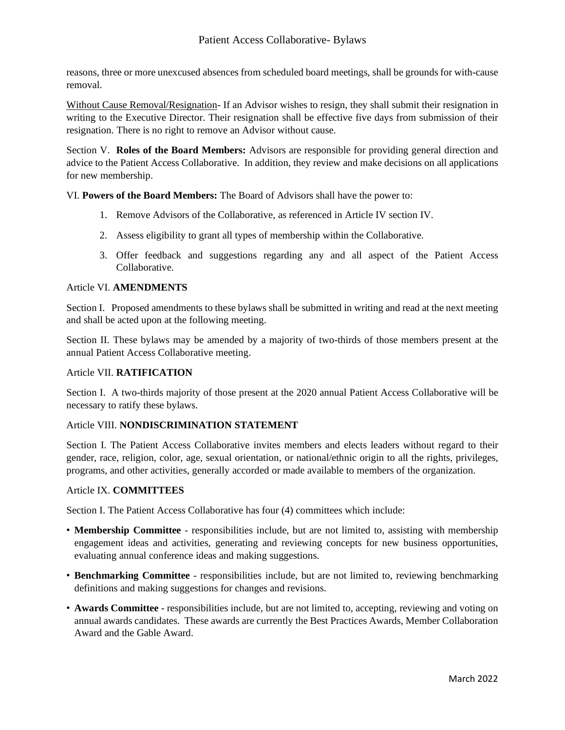reasons, three or more unexcused absences from scheduled board meetings, shall be grounds for with-cause removal.

Without Cause Removal/Resignation- If an Advisor wishes to resign, they shall submit their resignation in writing to the Executive Director. Their resignation shall be effective five days from submission of their resignation. There is no right to remove an Advisor without cause.

Section V. **Roles of the Board Members:** Advisors are responsible for providing general direction and advice to the Patient Access Collaborative. In addition, they review and make decisions on all applications for new membership.

VI. **Powers of the Board Members:** The Board of Advisors shall have the power to:

- 1. Remove Advisors of the Collaborative, as referenced in Article IV section IV.
- 2. Assess eligibility to grant all types of membership within the Collaborative.
- 3. Offer feedback and suggestions regarding any and all aspect of the Patient Access Collaborative.

# Article VI. **AMENDMENTS**

Section I. Proposed amendments to these bylaws shall be submitted in writing and read at the next meeting and shall be acted upon at the following meeting.

Section II. These bylaws may be amended by a majority of two-thirds of those members present at the annual Patient Access Collaborative meeting.

# Article VII. **RATIFICATION**

Section I. A two-thirds majority of those present at the 2020 annual Patient Access Collaborative will be necessary to ratify these bylaws.

# Article VIII. **NONDISCRIMINATION STATEMENT**

Section I. The Patient Access Collaborative invites members and elects leaders without regard to their gender, race, religion, color, age, sexual orientation, or national/ethnic origin to all the rights, privileges, programs, and other activities, generally accorded or made available to members of the organization.

### Article IX. **COMMITTEES**

Section I. The Patient Access Collaborative has four (4) committees which include:

- **Membership Committee** responsibilities include, but are not limited to, assisting with membership engagement ideas and activities, generating and reviewing concepts for new business opportunities, evaluating annual conference ideas and making suggestions.
- **Benchmarking Committee** responsibilities include, but are not limited to, reviewing benchmarking definitions and making suggestions for changes and revisions.
- **Awards Committee** responsibilities include, but are not limited to, accepting, reviewing and voting on annual awards candidates. These awards are currently the Best Practices Awards, Member Collaboration Award and the Gable Award.